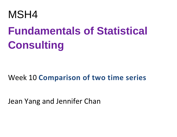

# **[Fundamentals](http://www.maths.usyd.edu.au/u/UG/HM/MSH4/) of Statistical [Consulting](http://www.maths.usyd.edu.au/u/UG/HM/MSH4/)**

# Week 10 **Comparison of two time series**

Jean Yang and Jennifer Chan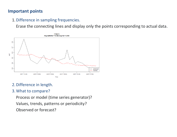# **Important points**

1.Difference in sampling frequencies.

Erase the connecting lines and display only the points corresponding to actual data.



# 2.Difference in length.

#### 3.What to compare?

Process or model (time series generator)? Values, trends, patterns or periodicity? Observed or forecast?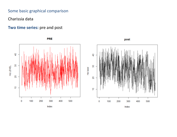Some basic graphical comparison

Charissia data

### **Two time series:** pre and post

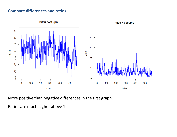#### **Compare differences and ratios**



 $Diff = post - pre$ 

Ratio = post/pre

More positive than negative differences in the first graph.

Ratios are much higher above 1.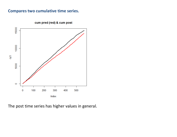#### **Compares two cumulative time series.**



cum pred (red) & cum post

The post time series has higher values in general.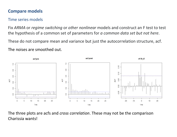# **Compare models**

# Time series models

Fix *ARMA* or *regime switching* or *other nonlinear* models and construct an F test to test the hypothesis of a common set of parameters for *a common data set but not here*.

These do not compare mean and variance but just the autocorrelation structure, acf.

The noises are smoothed out.



The three plots are acfs and *cross correlation*. These may not be the comparison Charissia wants!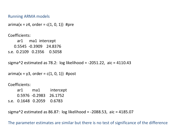#### Running ARMA models

 $arima(x = z4, order = c(1, 0, 1))$  #pre

Coefficients: ar1 ma1 intercept 0.5545 -0.3909 24.8376 s.e. 0.2109 0.2356 0.5058

```
sigma^2 estimated as 78.2: log likelihood = -2051.22, aic = 4110.43
```

```
arima(x = y3, order = c(1, 0, 1)) #post
```
Coefficients:

|  | ar1 ma1 | intercept              |
|--|---------|------------------------|
|  |         | 0.5976 -0.2983 26.1752 |
|  |         |                        |

sigma^2 estimated as 86.87: log likelihood = -2088.53, aic = 4185.07

The parameter estimates are similar but there is no test of significance of the difference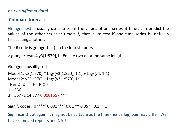on *two different data*!!

# **Compare forecast**

Granger test is usually used to see if the values of one series at time *t* can predict the values of the other series at time *t+1,* that is, to test if one time series is useful in forecasting another.

The R code is grangertest() in the lmtest library.

> grangertest(z4,y3[1:570],1) #make two data the same length

```
Granger causality test
Model 1: y3[1:570] ~ Lags(y3[1:570], 1:1) + Lags(z4, 1:1)
Model 2: y3[1:570] ~ Lags(y3[1:570], 1:1)
 Res.Df Df F Pr(>F)
1 566 
2 567 -1 14.377 0.0001657 ***
---
Signif. codes: 0 '***' 0.001 '**' 0.01 '*' 0.05 '.' 0.1 ' ' 1
```
Significant! But again, it may not be suitable as the time (hence **lag)** pair may differ. We have removed repeats and NA!!!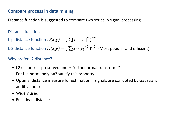# **Compare process in data mining**

Distance function is suggested to compare two series in signal processing.

Distance functions:

L-p distance function  $D(\pmb{x},\pmb{y}) = \left( \begin{array}{c|c} \sum |x_i - y_i|^p \end{array} \right)^{1/p}$ 

L-2 distance function  $D(x,y) = (\sum (x_i - y_i)^2)^{1/2}$  (Most popular and efficient)

# Why prefer L2 distance?

- L2 distance is preserved under "orthonormal transforms" For L-p norm, only p=2 satisfy this property.
- Optimal distance measure for estimation if signals are corrupted by Gaussian, additive noise
- Widely used
- Euclidean distance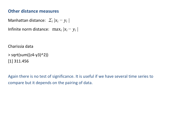# **Other distance measures**

Manhattan distance:  $\sum_i |x_i - y_i|$ 

Infinite norm distance: max*<sup>i</sup> |xi − y<sup>i</sup> |*

Charissia data

```
> sqrt(sum((z4-y3)^2))
[1] 311.456
```
Again there is no test of significance. It is useful if we have several time series to compare but it depends on the pairing of data.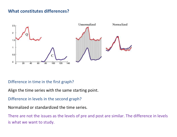# **What constitutes differences?**



#### Difference in time in the first graph?

Align the time series with the same starting point.

Difference in levels in the second graph?

Normalized or standardized the time series.

There are not the issues as the levels of pre and post are similar. The difference in levels is what we want to study.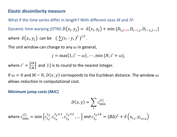### **Elastic dissimilarity measure**

What if the time series differ in length? With different sizes *M* and *N*!

Dynamic time warping (DTW)  $D(x_i, y_i) = \delta(x_i, y_i) + \min \{D_{i,i-1}, D_{i-1,i}, D_{i-1,i}\}$ where  $\delta(x_i, y_j)$  can be  $(\sum (x_i - y_i)^2)^{1/2}$ .

The unit window can change to any  $\omega$  in general,

$$
j = \max\{1, i' - \omega\}, \cdots, \min\{N, i' + \omega\},\
$$

where  $i' = \left[\frac{i}{i}\right]$  $\boldsymbol{M}$  $\vert$  and  $\vert$  is to round to the nearest integer.

If  $\omega = 0$  and  $M = N$ ,  $D(x, y)$  corresponds to the Euclidean distance. The window  $\omega$ allows reduction in computational cost.

#### **Minimum jump costs (MJC)**

$$
D(x, y) = \sum_{i} c_{\min}^{(i)}
$$
  
where  $c_{\min}^{(i)} = \min \left\{ c_{t_x}^{t_y}, c_{t_x}^{t_y+1}, c_{t_x}^{t_y+2}, \dots \right\}$  and  $c_{t_x}^{t_y+\Delta} = (\emptyset \Delta)^2 + \delta \left( x_{t_x}, y_{t_y+\Delta} \right)$